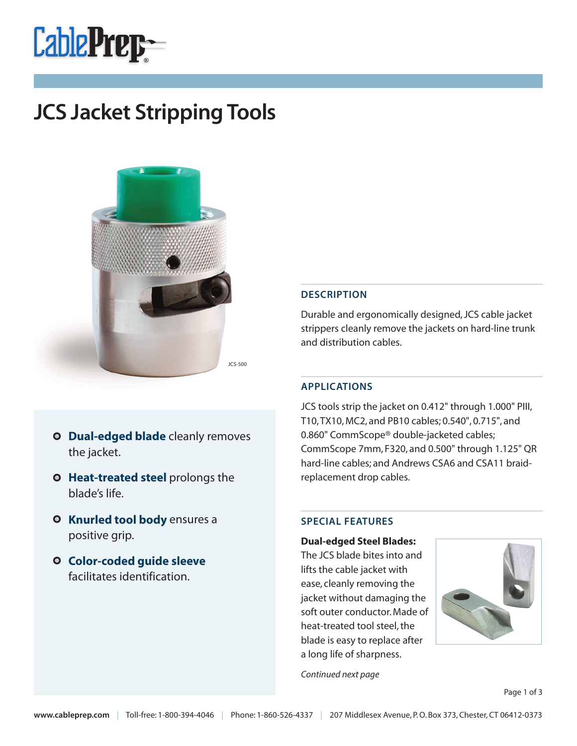# **CablePrep-**

# **JCS Jacket Stripping Tools**



- **O** Dual-edged blade cleanly removes the jacket.
- **O** Heat-treated steel prolongs the blade's life.
- **O** Knurled tool body ensures a positive grip.
- **Color-coded guide sleeve**  facilitates identification.

#### **DESCRIPTION**

Durable and ergonomically designed, JCS cable jacket strippers cleanly remove the jackets on hard-line trunk and distribution cables.

#### **APPLICATIONS**

JCS tools strip the jacket on 0.412" through 1.000" PIII, T10, TX10, MC2, and PB10 cables; 0.540", 0.715", and 0.860" CommScope® double-jacketed cables; CommScope 7mm, F320, and 0.500" through 1.125" QR hard-line cables; and Andrews CSA6 and CSA11 braidreplacement drop cables.

#### **SPECIAL FEATURES**

**Dual-edged Steel Blades:** The JCS blade bites into and lifts the cable jacket with ease, cleanly removing the jacket without damaging the soft outer conductor. Made of heat-treated tool steel, the blade is easy to replace after a long life of sharpness.



Continued next page

Page 1 of 3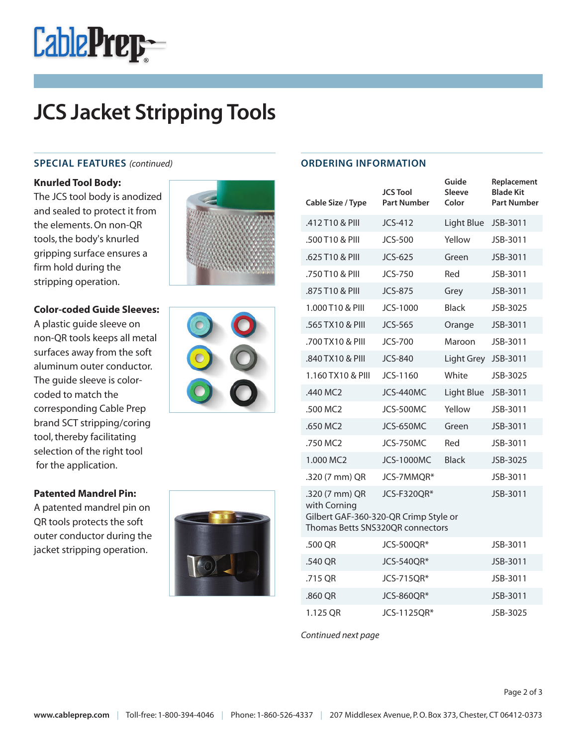

## **JCS Jacket Stripping Tools**

#### **SPECIAL FEATURES** (continued)

#### **Knurled Tool Body:**

The JCS tool body is anodized and sealed to protect it from the elements. On non-QR tools, the body's knurled gripping surface ensures a firm hold during the stripping operation.



#### **Color-coded Guide Sleeves:**

A plastic guide sleeve on non-QR tools keeps all metal surfaces away from the soft aluminum outer conductor. The guide sleeve is colorcoded to match the corresponding Cable Prep brand SCT stripping/coring tool, thereby facilitating selection of the right tool for the application.

#### **Patented Mandrel Pin:**

A patented mandrel pin on QR tools protects the soft outer conductor during the jacket stripping operation.





| Cable Size / Type                                                                                                                      | <b>JCS Tool</b><br><b>Part Number</b> | Guide<br>Sleeve<br>Color | Replacement<br><b>Blade Kit</b><br><b>Part Number</b> |  |  |
|----------------------------------------------------------------------------------------------------------------------------------------|---------------------------------------|--------------------------|-------------------------------------------------------|--|--|
| .412 T10 & PIII                                                                                                                        | JCS-412                               | Light Blue               | JSB-3011                                              |  |  |
| .500 T10 & PIII                                                                                                                        | <b>JCS-500</b>                        | Yellow                   | JSB-3011                                              |  |  |
| .625 T10 & PIII                                                                                                                        | JCS-625                               | Green                    | JSB-3011                                              |  |  |
| .750 T10 & PIII                                                                                                                        | <b>JCS-750</b>                        | Red                      | JSB-3011                                              |  |  |
| .875 T10 & PIII                                                                                                                        | <b>JCS-875</b>                        | Grey                     | JSB-3011                                              |  |  |
| 1.000 T10 & PIII                                                                                                                       | JCS-1000                              | <b>Black</b>             | JSB-3025                                              |  |  |
| .565 TX10 & PIII                                                                                                                       | <b>JCS-565</b>                        | Orange                   | JSB-3011                                              |  |  |
| .700 TX10 & PIII                                                                                                                       | <b>JCS-700</b>                        | Maroon                   | JSB-3011                                              |  |  |
| .840 TX10 & PIII                                                                                                                       | <b>JCS-840</b>                        | Light Grey               | JSB-3011                                              |  |  |
| 1.160 TX10 & PIII                                                                                                                      | JCS-1160                              | White                    | JSB-3025                                              |  |  |
| .440 MC2                                                                                                                               | JCS-440MC                             | Light Blue               | JSB-3011                                              |  |  |
| .500 MC2                                                                                                                               | JCS-500MC                             | Yellow                   | JSB-3011                                              |  |  |
| .650 MC2                                                                                                                               | JCS-650MC                             | Green                    | JSB-3011                                              |  |  |
| .750 MC2                                                                                                                               | JCS-750MC                             | Red                      | JSB-3011                                              |  |  |
| 1.000 MC2                                                                                                                              | <b>JCS-1000MC</b>                     | <b>Black</b>             | JSB-3025                                              |  |  |
| .320 (7 mm) QR                                                                                                                         | JCS-7MMQR*                            |                          | JSB-3011                                              |  |  |
| JCS-F320QR*<br>.320 (7 mm) QR<br>JSB-3011<br>with Corning<br>Gilbert GAF-360-320-QR Crimp Style or<br>Thomas Betts SNS320QR connectors |                                       |                          |                                                       |  |  |
| .500 QR                                                                                                                                | <b>JCS-500QR*</b>                     |                          | JSB-3011                                              |  |  |
| .540 QR                                                                                                                                | JCS-540QR*                            |                          | JSB-3011                                              |  |  |
| .715 QR                                                                                                                                | JCS-715QR*                            |                          | JSB-3011                                              |  |  |
| .860 QR                                                                                                                                | JCS-860QR*                            |                          | JSB-3011                                              |  |  |
| 1.125 QR                                                                                                                               | JCS-1125QR*                           |                          | JSB-3025                                              |  |  |

Continued next page